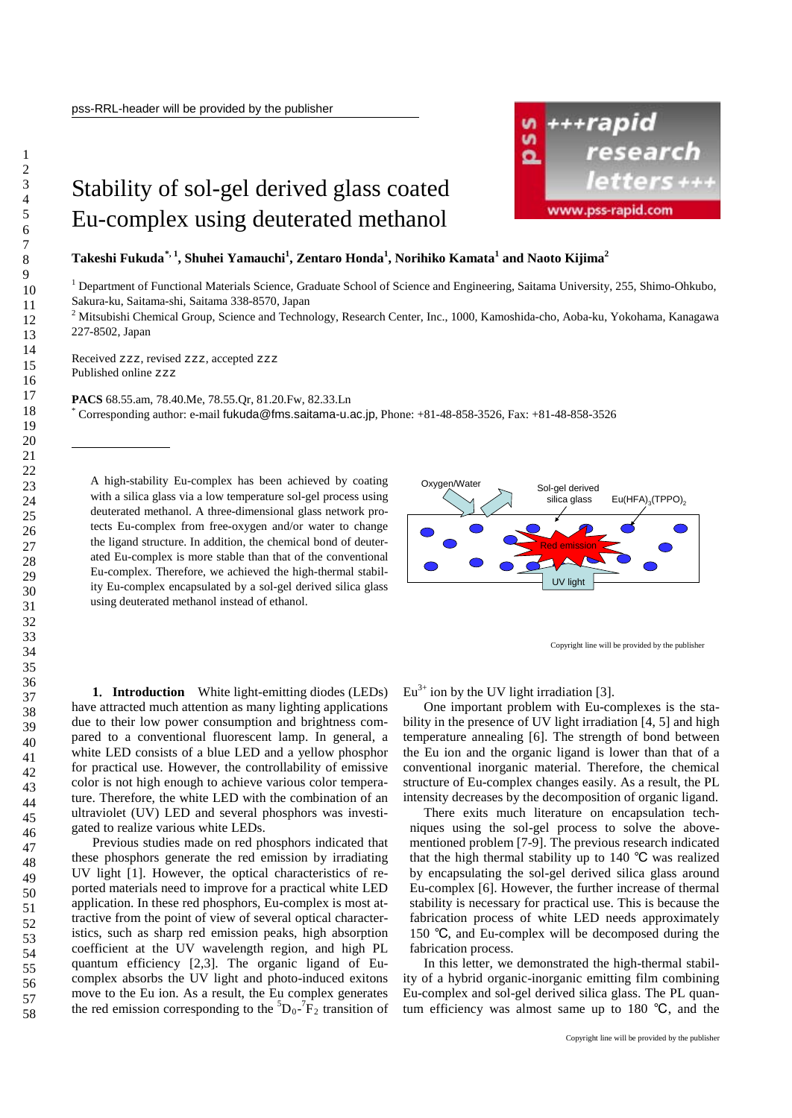## Stability of sol-gel derived glass coated Eu-complex using deuterated methanol

**Takeshi Fukuda[\\*](#page-0-0), <sup>1</sup> , Shuhei Yamauchi<sup>1</sup> , Zentaro Honda<sup>1</sup> , Norihiko Kamata<sup>1</sup> and Naoto Kijima 2**

<sup>1</sup> Department of Functional Materials Science, Graduate School of Science and Engineering, Saitama University, 255, Shimo-Ohkubo, Sakura-ku, Saitama-shi, Saitama 338-8570, Japan

<sup>2</sup> Mitsubishi Chemical Group, Science and Technology, Research Center, Inc., 1000, Kamoshida-cho, Aoba-ku, Yokohama, Kanagawa 227-8502, Japan

Received zzz, revised zzz, accepted zzz Published online zzz

**PACS** 68.55.am, 78.40.Me, 78.55.Qr, 81.20.Fw, 82.33.Ln

\* Corresponding author: e-mail fukuda@fms.saitama-u.ac.jp, Phone: +81-48-858-3526, Fax: +81-48-858-3526

A high-stability Eu-complex has been achieved by coating with a silica glass via a low temperature sol-gel process using deuterated methanol. A three-dimensional glass network protects Eu-complex from free-oxygen and/or water to change the ligand structure. In addition, the chemical bond of deuterated Eu-complex is more stable than that of the conventional Eu-complex. Therefore, we achieved the high-thermal stability Eu-complex encapsulated by a sol-gel derived silica glass using deuterated methanol instead of ethanol.



Copyright line will be provided by the publisher

**1**. **Introduction** White light-emitting diodes (LEDs) have attracted much attention as many lighting applications due to their low power consumption and brightness compared to a conventional fluorescent lamp. In general, a white LED consists of a blue LED and a yellow phosphor for practical use. However, the controllability of emissive color is not high enough to achieve various color temperature. Therefore, the white LED with the combination of an ultraviolet (UV) LED and several phosphors was investigated to realize various white LEDs.

Previous studies made on red phosphors indicated that these phosphors generate the red emission by irradiating UV light [1]. However, the optical characteristics of reported materials need to improve for a practical white LED application. In these red phosphors, Eu-complex is most attractive from the point of view of several optical characteristics, such as sharp red emission peaks, high absorption coefficient at the UV wavelength region, and high PL quantum efficiency [2,3]. The organic ligand of Eucomplex absorbs the UV light and photo-induced exitons move to the Eu ion. As a result, the Eu complex generates the red emission corresponding to the  ${}^{5}D_{0}$ - ${}^{7}F_{2}$  transition of  $Eu^{3+}$  ion by the UV light irradiation [3].

One important problem with Eu-complexes is the stability in the presence of UV light irradiation [4, 5] and high temperature annealing [6]. The strength of bond between the Eu ion and the organic ligand is lower than that of a conventional inorganic material. Therefore, the chemical structure of Eu-complex changes easily. As a result, the PL intensity decreases by the decomposition of organic ligand.

There exits much literature on encapsulation techniques using the sol-gel process to solve the abovementioned problem [7-9]. The previous research indicated that the high thermal stability up to 140 ℃ was realized by encapsulating the sol-gel derived silica glass around Eu-complex [6]. However, the further increase of thermal stability is necessary for practical use. This is because the fabrication process of white LED needs approximately 150 ℃, and Eu-complex will be decomposed during the fabrication process.

In this letter, we demonstrated the high-thermal stability of a hybrid organic-inorganic emitting film combining Eu-complex and sol-gel derived silica glass. The PL quantum efficiency was almost same up to 180 ℃, and the



<span id="page-0-0"></span>-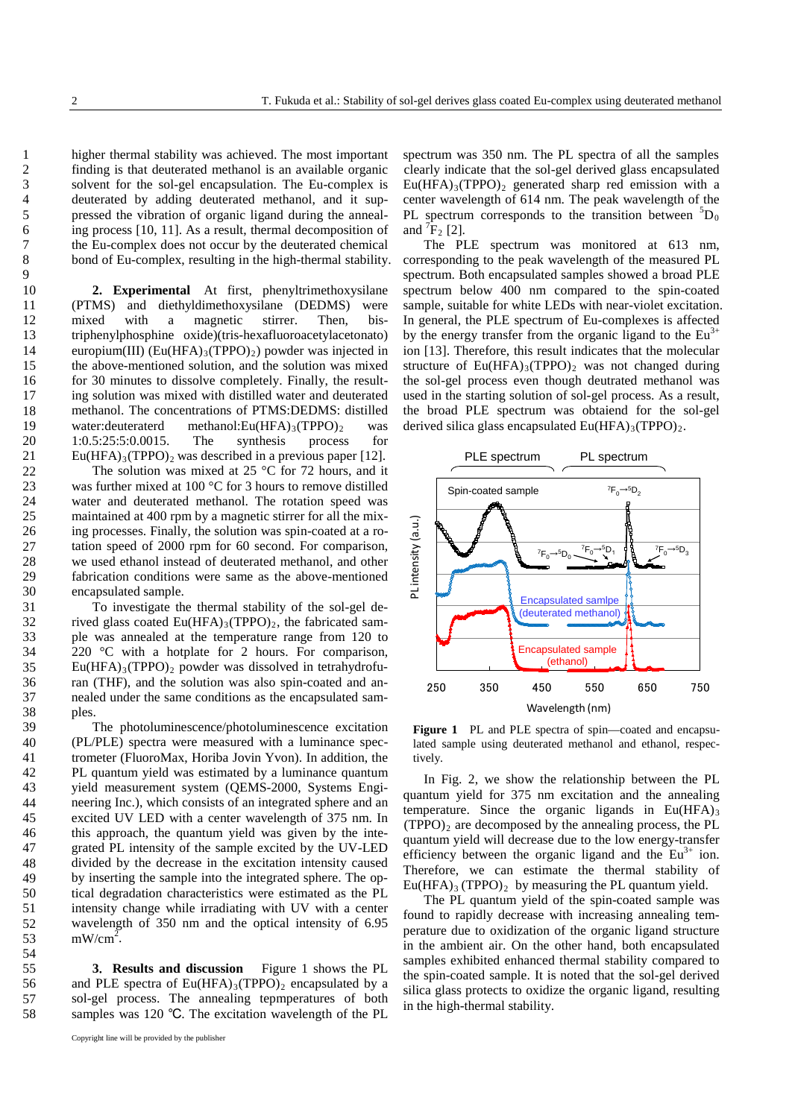higher thermal stability was achieved. The most important finding is that deuterated methanol is an available organic solvent for the sol-gel encapsulation. The Eu-complex is deuterated by adding deuterated methanol, and it suppressed the vibration of organic ligand during the annealing process [10, 11]. As a result, thermal decomposition of the Eu-complex does not occur by the deuterated chemical bond of Eu-complex, resulting in the high-thermal stability.

**2. Experimental** At first, phenyltrimethoxysilane (PTMS) and diethyldimethoxysilane (DEDMS) were mixed with a magnetic stirrer. Then, bistriphenylphosphine oxide)(tris-hexafluoroacetylacetonato) europium(III)  $(Eu(HFA)_{3}(TPPO)_{2})$  powder was injected in the above-mentioned solution, and the solution was mixed for 30 minutes to dissolve completely. Finally, the resulting solution was mixed with distilled water and deuterated methanol. The concentrations of PTMS:DEDMS: distilled<br>water:deuteraterd methanol:Eu(HFA)3(TPPO)<sub>2</sub> was methanol:Eu(HFA)<sub>3</sub>(TPPO)<sub>2</sub> was<br>The synthesis process for 1:0.5:25:5:0.0015.  $Eu(HFA)_{3}(TPPO)_{2}$  was described in a previous paper [12].

The solution was mixed at 25 °C for 72 hours, and it was further mixed at 100 °C for 3 hours to remove distilled water and deuterated methanol. The rotation speed was maintained at 400 rpm by a magnetic stirrer for all the mixing processes. Finally, the solution was spin-coated at a rotation speed of 2000 rpm for 60 second. For comparison, we used ethanol instead of deuterated methanol, and other fabrication conditions were same as the above-mentioned encapsulated sample.

To investigate the thermal stability of the sol-gel derived glass coated  $Eu(HFA)_{3}(TPPO)_{2}$ , the fabricated sample was annealed at the temperature range from 120 to 220  $\degree$ C with a hotplate for 2 hours. For comparison,  $Eu(HFA)_{3}(TPPO)_{2}$  powder was dissolved in tetrahydrofuran (THF), and the solution was also spin-coated and annealed under the same conditions as the encapsulated samples.

The photoluminescence/photoluminescence excitation (PL/PLE) spectra were measured with a luminance spectrometer (FluoroMax, Horiba Jovin Yvon). In addition, the PL quantum yield was estimated by a luminance quantum yield measurement system (QEMS-2000, Systems Engineering Inc.), which consists of an integrated sphere and an excited UV LED with a center wavelength of 375 nm. In this approach, the quantum yield was given by the integrated PL intensity of the sample excited by the UV-LED divided by the decrease in the excitation intensity caused by inserting the sample into the integrated sphere. The optical degradation characteristics were estimated as the PL intensity change while irradiating with UV with a center wavelength of 350 nm and the optical intensity of 6.95  $mW/cm^2$ .

**3**. **Results and discussion** Figure 1 shows the PL and PLE spectra of  $Eu(HFA)_{3}(TPPO)_{2}$  encapsulated by a sol-gel process. The annealing tepmperatures of both samples was 120 ℃. The excitation wavelength of the PL

Copyright line will be provided by the publisher

spectrum was 350 nm. The PL spectra of all the samples clearly indicate that the sol-gel derived glass encapsulated  $Eu(HFA)_{3}(TPPO)_{2}$  generated sharp red emission with a center wavelength of 614 nm. The peak wavelength of the PL spectrum corresponds to the transition between  ${}^{5}D_0$ and  ${}^{7}F_{2}$  [2].

The PLE spectrum was monitored at 613 nm, corresponding to the peak wavelength of the measured PL spectrum. Both encapsulated samples showed a broad PLE spectrum below 400 nm compared to the spin-coated sample, suitable for white LEDs with near-violet excitation. In general, the PLE spectrum of Eu-complexes is affected by the energy transfer from the organic ligand to the  $Eu<sup>3+</sup>$ ion [13]. Therefore, this result indicates that the molecular structure of  $Eu(HFA)_{3}(TPPO)_{2}$  was not changed during the sol-gel process even though deutrated methanol was used in the starting solution of sol-gel process. As a result, the broad PLE spectrum was obtaiend for the sol-gel derived silica glass encapsulated  $Eu(HFA)_{3}(TPPO)_{2}$ .



**Figure 1** PL and PLE spectra of spin—coated and encapsulated sample using deuterated methanol and ethanol, respectively.

In Fig. 2, we show the relationship between the PL quantum yield for 375 nm excitation and the annealing temperature. Since the organic ligands in  $Eu(HFA)_{3}$  $(TPPO)<sub>2</sub>$  are decomposed by the annealing process, the PL quantum yield will decrease due to the low energy-transfer efficiency between the organic ligand and the  $Eu<sup>3+</sup>$  ion. Therefore, we can estimate the thermal stability of  $Eu(HFA)$ <sub>3</sub> (TPPO)<sub>2</sub> by measuring the PL quantum yield.

The PL quantum yield of the spin-coated sample was found to rapidly decrease with increasing annealing temperature due to oxidization of the organic ligand structure in the ambient air. On the other hand, both encapsulated samples exhibited enhanced thermal stability compared to the spin-coated sample. It is noted that the sol-gel derived silica glass protects to oxidize the organic ligand, resulting in the high-thermal stability.